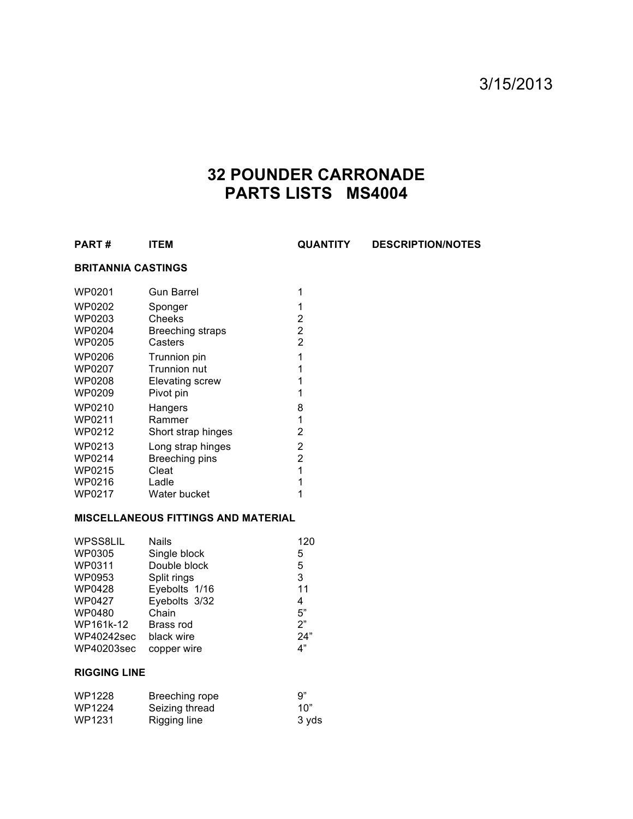## 3/15/2013

# **32 POUNDER CARRONADE PARTS LISTS MS4004**

**PART # ITEM QUANTITY DESCRIPTION/NOTES**

## **BRITANNIA CASTINGS**

| <b>WP0201</b> | <b>Gun Barrel</b>      | 1 |
|---------------|------------------------|---|
| WP0202        | Sponger                | 1 |
| WP0203        | Cheeks                 | 2 |
| WP0204        | Breeching straps       | 2 |
| WP0205        | Casters                | 2 |
| WP0206        | Trunnion pin           | 1 |
| <b>WP0207</b> | <b>Trunnion nut</b>    | 1 |
| WP0208        | <b>Elevating screw</b> | 1 |
| WP0209        | Pivot pin              | 1 |
| WP0210        | Hangers                | 8 |
| WP0211        | Rammer                 | 1 |
| WP0212        | Short strap hinges     | 2 |
| WP0213        | Long strap hinges      | 2 |
| WP0214        | Breeching pins         | 2 |
| WP0215        | Cleat                  | 1 |
| WP0216        | Ladle                  | 1 |
| WP0217        | Water bucket           | 1 |

#### **MISCELLANEOUS FITTINGS AND MATERIAL**

| <b>Nails</b>  | 120 |
|---------------|-----|
| Single block  | 5   |
| Double block  | 5   |
| Split rings   | 3   |
| Eyebolts 1/16 | 11  |
| Eyebolts 3/32 | 4   |
| Chain         | 5"  |
| Brass rod     | 2"  |
| black wire    | 24" |
| copper wire   | 4"  |
|               |     |

## **RIGGING LINE**

| WP1228 | Breeching rope | 9"    |
|--------|----------------|-------|
| WP1224 | Seizing thread | 10"   |
| WP1231 | Rigging line   | 3 vds |